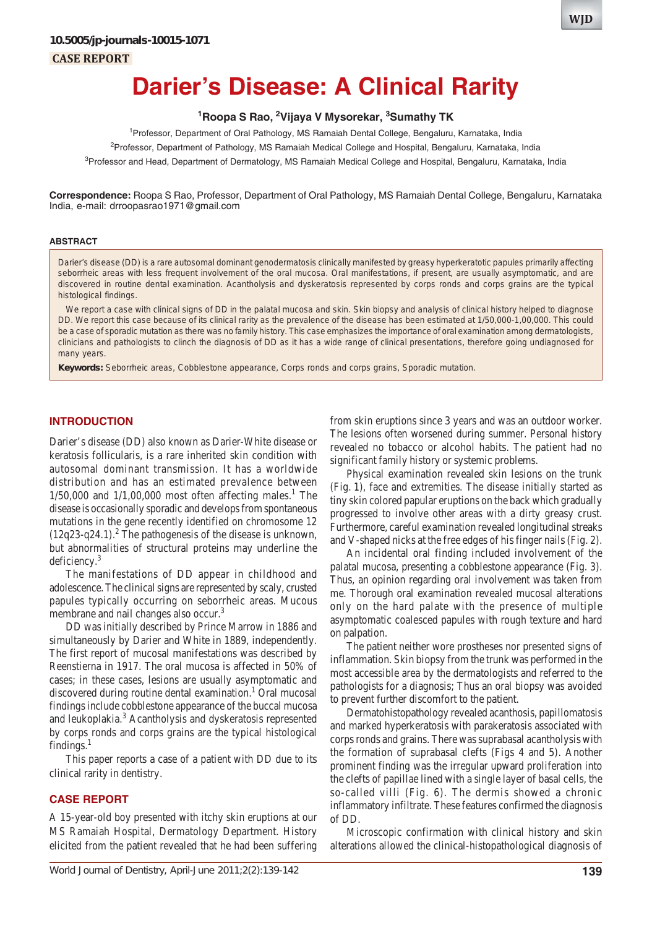**CASE REPORT**

# **Darier's Disease: A Clinical Rarity**

#### **1 Roopa S Rao, 2 Vijaya V Mysorekar, 3 Sumathy TK**

1 Professor, Department of Oral Pathology, MS Ramaiah Dental College, Bengaluru, Karnataka, India 2 Professor, Department of Pathology, MS Ramaiah Medical College and Hospital, Bengaluru, Karnataka, India <sup>3</sup>Professor and Head, Department of Dermatology, MS Ramaiah Medical College and Hospital, Bengaluru, Karnataka, India

**Correspondence:** Roopa S Rao, Professor, Department of Oral Pathology, MS Ramaiah Dental College, Bengaluru, Karnataka India, e-mail: drroopasrao1971@gmail.com

#### **ABSTRACT**

Darier's disease (DD) is a rare autosomal dominant genodermatosis clinically manifested by greasy hyperkeratotic papules primarily affecting seborrheic areas with less frequent involvement of the oral mucosa. Oral manifestations, if present, are usually asymptomatic, and are discovered in routine dental examination. Acantholysis and dyskeratosis represented by corps ronds and corps grains are the typical histological findings.

We report a case with clinical signs of DD in the palatal mucosa and skin. Skin biopsy and analysis of clinical history helped to diagnose DD. We report this case because of its clinical rarity as the prevalence of the disease has been estimated at 1/50,000-1,00,000. This could be a case of sporadic mutation as there was no family history. This case emphasizes the importance of oral examination among dermatologists, clinicians and pathologists to clinch the diagnosis of DD as it has a wide range of clinical presentations, therefore going undiagnosed for many years.

**Keywords:** Seborrheic areas, Cobblestone appearance, Corps ronds and corps grains, Sporadic mutation.

#### **INTRODUCTION**

Darier's disease (DD) also known as Darier-White disease or keratosis follicularis, is a rare inherited skin condition with autosomal dominant transmission. It has a worldwide distribution and has an estimated prevalence between  $1/50,000$  and  $1/1,00,000$  most often affecting males.<sup>1</sup> The disease is occasionally sporadic and develops from spontaneous mutations in the gene recently identified on chromosome 12  $(12q23-q24.1).$ <sup>2</sup> The pathogenesis of the disease is unknown, but abnormalities of structural proteins may underline the deficiency.3

The manifestations of DD appear in childhood and adolescence. The clinical signs are represented by scaly, crusted papules typically occurring on seborrheic areas. Mucous membrane and nail changes also occur.<sup>3</sup>

DD was initially described by Prince Marrow in 1886 and simultaneously by Darier and White in 1889, independently. The first report of mucosal manifestations was described by Reenstierna in 1917. The oral mucosa is affected in 50% of cases; in these cases, lesions are usually asymptomatic and discovered during routine dental examination.<sup>1</sup> Oral mucosal findings include cobblestone appearance of the buccal mucosa and leukoplakia.<sup>3</sup> Acantholysis and dyskeratosis represented by corps ronds and corps grains are the typical histological findings. $<sup>1</sup>$ </sup>

This paper reports a case of a patient with DD due to its clinical rarity in dentistry.

#### **CASE REPORT**

A 15-year-old boy presented with itchy skin eruptions at our MS Ramaiah Hospital, Dermatology Department. History elicited from the patient revealed that he had been suffering from skin eruptions since 3 years and was an outdoor worker. The lesions often worsened during summer. Personal history revealed no tobacco or alcohol habits. The patient had no significant family history or systemic problems.

Physical examination revealed skin lesions on the trunk (Fig. 1), face and extremities. The disease initially started as tiny skin colored papular eruptions on the back which gradually progressed to involve other areas with a dirty greasy crust. Furthermore, careful examination revealed longitudinal streaks and V-shaped nicks at the free edges of his finger nails (Fig. 2).

An incidental oral finding included involvement of the palatal mucosa, presenting a cobblestone appearance (Fig. 3). Thus, an opinion regarding oral involvement was taken from me. Thorough oral examination revealed mucosal alterations only on the hard palate with the presence of multiple asymptomatic coalesced papules with rough texture and hard on palpation.

The patient neither wore prostheses nor presented signs of inflammation. Skin biopsy from the trunk was performed in the most accessible area by the dermatologists and referred to the pathologists for a diagnosis; Thus an oral biopsy was avoided to prevent further discomfort to the patient.

Dermatohistopathology revealed acanthosis, papillomatosis and marked hyperkeratosis with parakeratosis associated with corps ronds and grains. There was suprabasal acantholysis with the formation of suprabasal clefts (Figs 4 and 5). Another prominent finding was the irregular upward proliferation into the clefts of papillae lined with a single layer of basal cells, the so-called villi (Fig. 6). The dermis showed a chronic inflammatory infiltrate. These features confirmed the diagnosis of DD.

Microscopic confirmation with clinical history and skin alterations allowed the clinical-histopathological diagnosis of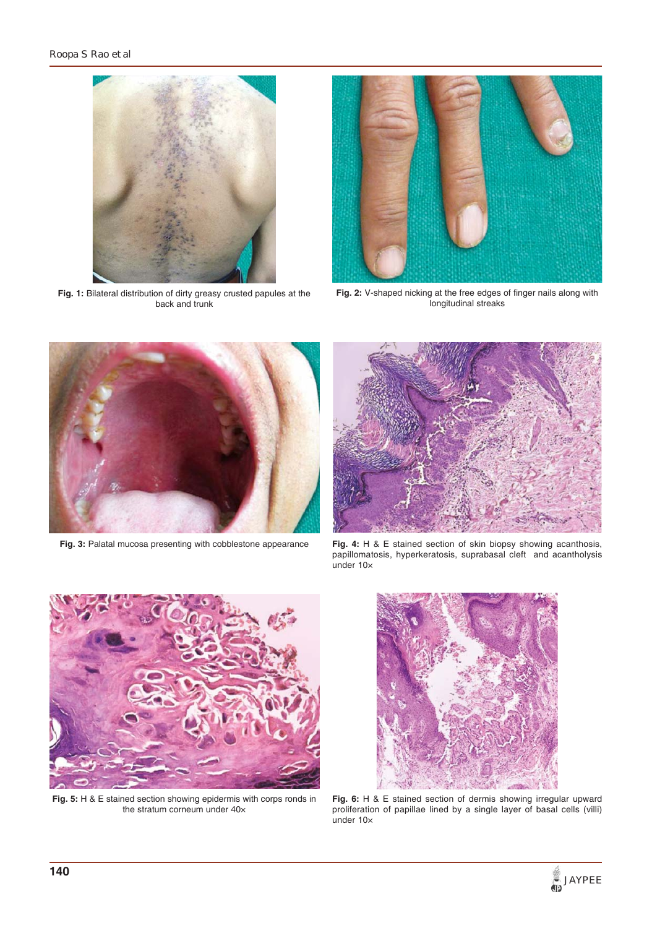

**Fig. 1:** Bilateral distribution of dirty greasy crusted papules at the back and trunk



**Fig. 2:** V-shaped nicking at the free edges of finger nails along with longitudinal streaks



**Fig. 3:** Palatal mucosa presenting with cobblestone appearance



**Fig. 4:** H & E stained section of skin biopsy showing acanthosis, papillomatosis, hyperkeratosis, suprabasal cleft and acantholysis under 10×



**Fig. 5:** H & E stained section showing epidermis with corps ronds in the stratum corneum under 40×



**Fig. 6:** H & E stained section of dermis showing irregular upward proliferation of papillae lined by a single layer of basal cells (villi) under 10×

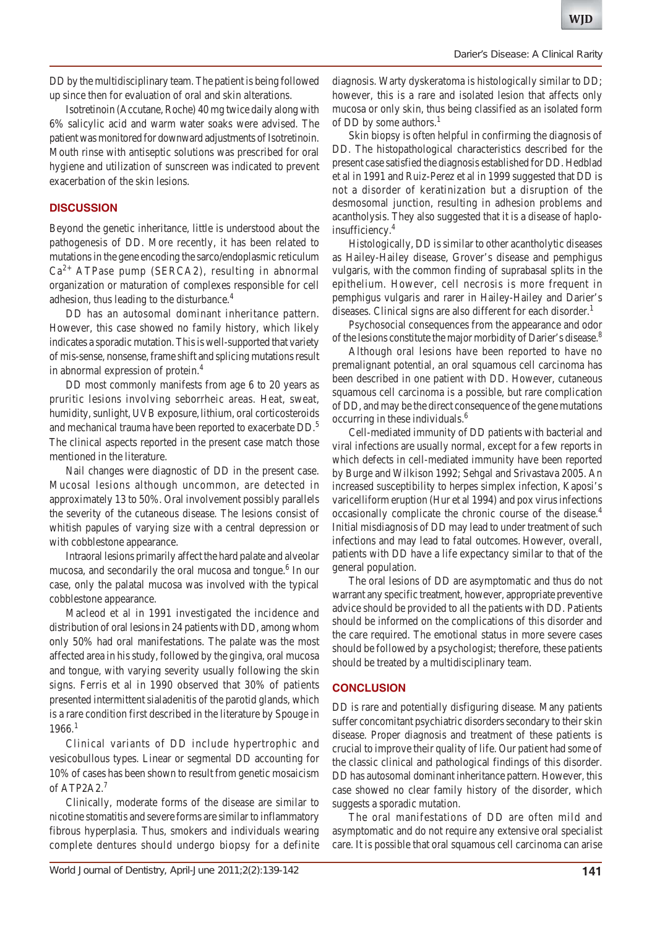DD by the multidisciplinary team. The patient is being followed up since then for evaluation of oral and skin alterations.

Isotretinoin (Accutane, Roche) 40 mg twice daily along with 6% salicylic acid and warm water soaks were advised. The patient was monitored for downward adjustments of Isotretinoin. Mouth rinse with antiseptic solutions was prescribed for oral hygiene and utilization of sunscreen was indicated to prevent exacerbation of the skin lesions.

### **DISCUSSION**

Beyond the genetic inheritance, little is understood about the pathogenesis of DD. More recently, it has been related to mutations in the gene encoding the sarco/endoplasmic reticulum  $Ca<sup>2+</sup> ATPase pump (SERCA2), resulting in abnormal$ organization or maturation of complexes responsible for cell adhesion, thus leading to the disturbance.<sup>4</sup>

DD has an autosomal dominant inheritance pattern. However, this case showed no family history, which likely indicates a sporadic mutation. This is well-supported that variety of mis-sense, nonsense, frame shift and splicing mutations result in abnormal expression of protein.4

DD most commonly manifests from age 6 to 20 years as pruritic lesions involving seborrheic areas. Heat, sweat, humidity, sunlight, UVB exposure, lithium, oral corticosteroids and mechanical trauma have been reported to exacerbate DD.<sup>5</sup> The clinical aspects reported in the present case match those mentioned in the literature.

Nail changes were diagnostic of DD in the present case. Mucosal lesions although uncommon, are detected in approximately 13 to 50%. Oral involvement possibly parallels the severity of the cutaneous disease. The lesions consist of whitish papules of varying size with a central depression or with cobblestone appearance.

Intraoral lesions primarily affect the hard palate and alveolar mucosa, and secondarily the oral mucosa and tongue.<sup>6</sup> In our case, only the palatal mucosa was involved with the typical cobblestone appearance.

Macleod et al in 1991 investigated the incidence and distribution of oral lesions in 24 patients with DD, among whom only 50% had oral manifestations. The palate was the most affected area in his study, followed by the gingiva, oral mucosa and tongue, with varying severity usually following the skin signs. Ferris et al in 1990 observed that 30% of patients presented intermittent sialadenitis of the parotid glands, which is a rare condition first described in the literature by Spouge in  $1966.<sup>1</sup>$ 

Clinical variants of DD include hypertrophic and vesicobullous types. Linear or segmental DD accounting for 10% of cases has been shown to result from genetic mosaicism of ATP2A2.7

Clinically, moderate forms of the disease are similar to nicotine stomatitis and severe forms are similar to inflammatory fibrous hyperplasia. Thus, smokers and individuals wearing complete dentures should undergo biopsy for a definite diagnosis. Warty dyskeratoma is histologically similar to DD; however, this is a rare and isolated lesion that affects only mucosa or only skin, thus being classified as an isolated form of DD by some authors. $<sup>1</sup>$ </sup>

Skin biopsy is often helpful in confirming the diagnosis of DD. The histopathological characteristics described for the present case satisfied the diagnosis established for DD. Hedblad et al in 1991 and Ruiz-Perez et al in 1999 suggested that DD is not a disorder of keratinization but a disruption of the desmosomal junction, resulting in adhesion problems and acantholysis. They also suggested that it is a disease of haploinsufficiency.4

Histologically, DD is similar to other acantholytic diseases as Hailey-Hailey disease, Grover's disease and pemphigus vulgaris, with the common finding of suprabasal splits in the epithelium. However, cell necrosis is more frequent in pemphigus vulgaris and rarer in Hailey-Hailey and Darier's diseases. Clinical signs are also different for each disorder.<sup>1</sup>

Psychosocial consequences from the appearance and odor of the lesions constitute the major morbidity of Darier's disease.<sup>8</sup>

Although oral lesions have been reported to have no premalignant potential, an oral squamous cell carcinoma has been described in one patient with DD. However, cutaneous squamous cell carcinoma is a possible, but rare complication of DD, and may be the direct consequence of the gene mutations occurring in these individuals.6

Cell-mediated immunity of DD patients with bacterial and viral infections are usually normal, except for a few reports in which defects in cell-mediated immunity have been reported by Burge and Wilkison 1992; Sehgal and Srivastava 2005. An increased susceptibility to herpes simplex infection, Kaposi's varicelliform eruption (Hur et al 1994) and pox virus infections occasionally complicate the chronic course of the disease.<sup>4</sup> Initial misdiagnosis of DD may lead to under treatment of such infections and may lead to fatal outcomes. However, overall, patients with DD have a life expectancy similar to that of the general population.

The oral lesions of DD are asymptomatic and thus do not warrant any specific treatment, however, appropriate preventive advice should be provided to all the patients with DD. Patients should be informed on the complications of this disorder and the care required. The emotional status in more severe cases should be followed by a psychologist; therefore, these patients should be treated by a multidisciplinary team.

## **CONCLUSION**

DD is rare and potentially disfiguring disease. Many patients suffer concomitant psychiatric disorders secondary to their skin disease. Proper diagnosis and treatment of these patients is crucial to improve their quality of life. Our patient had some of the classic clinical and pathological findings of this disorder. DD has autosomal dominant inheritance pattern. However, this case showed no clear family history of the disorder, which suggests a sporadic mutation.

The oral manifestations of DD are often mild and asymptomatic and do not require any extensive oral specialist care. It is possible that oral squamous cell carcinoma can arise